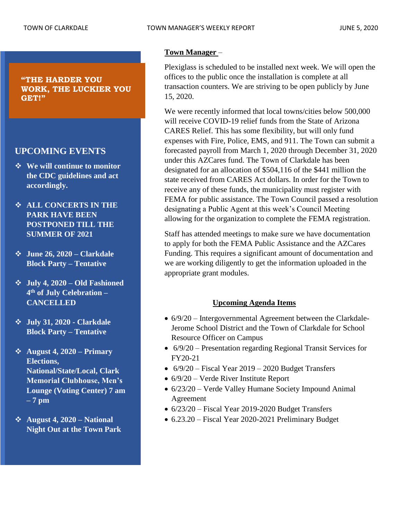**"THE HARDER YOU WORK, THE LUCKIER YOU GET!"**

# **UPCOMING EVENTS**

- ❖ **We will continue to monitor the CDC guidelines and act accordingly.**
- ❖ **ALL CONCERTS IN THE PARK HAVE BEEN POSTPONED TILL THE SUMMER OF 2021**
- ❖ **June 26, 2020 – Clarkdale Block Party – Tentative**
- ❖ **July 4, 2020 – Old Fashioned 4 th of July Celebration – CANCELLED**
- ❖ **July 31, 2020 - Clarkdale Block Party – Tentative**
- ❖ **August 4, 2020 – Primary Elections, National/State/Local, Clark Memorial Clubhouse, Men's Lounge (Voting Center) 7 am – 7 pm**
- ❖ **August 4, 2020 – National Night Out at the Town Park**

## **Town Manager** –

Plexiglass is scheduled to be installed next week. We will open the offices to the public once the installation is complete at all transaction counters. We are striving to be open publicly by June 15, 2020.

We were recently informed that local towns/cities below 500,000 will receive COVID-19 relief funds from the State of Arizona CARES Relief. This has some flexibility, but will only fund expenses with Fire, Police, EMS, and 911. The Town can submit a forecasted payroll from March 1, 2020 through December 31, 2020 under this AZCares fund. The Town of Clarkdale has been designated for an allocation of \$504,116 of the \$441 million the state received from CARES Act dollars. In order for the Town to receive any of these funds, the municipality must register with FEMA for public assistance. The Town Council passed a resolution designating a Public Agent at this week's Council Meeting allowing for the organization to complete the FEMA registration.

Staff has attended meetings to make sure we have documentation to apply for both the FEMA Public Assistance and the AZCares Funding. This requires a significant amount of documentation and we are working diligently to get the information uploaded in the appropriate grant modules.

## **Upcoming Agenda Items**

- 6/9/20 Intergovernmental Agreement between the Clarkdale-Jerome School District and the Town of Clarkdale for School Resource Officer on Campus
- 6/9/20 Presentation regarding Regional Transit Services for FY20-21
- $6/9/20$  Fiscal Year 2019 2020 Budget Transfers
- 6/9/20 Verde River Institute Report
- 6/23/20 Verde Valley Humane Society Impound Animal Agreement
- 6/23/20 Fiscal Year 2019-2020 Budget Transfers
- 6.23.20 Fiscal Year 2020-2021 Preliminary Budget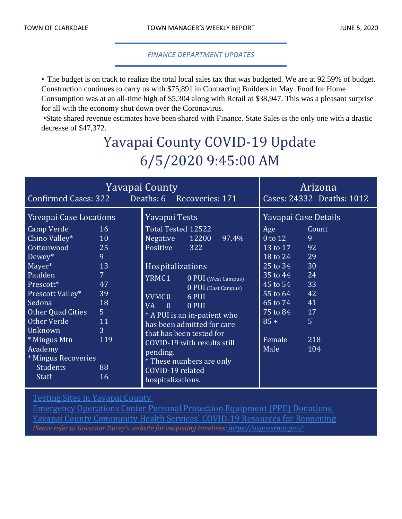## *FINANCE DEPARTMENT UPDATES*

• The budget is on track to realize the total local sales tax that was budgeted. We are at 92.59% of budget. Construction continues to carry us with \$75,891 in Contracting Builders in May. Food for Home Consumption was at an all-time high of \$5,304 along with Retail at \$38,947. This was a pleasant surprise for all with the economy shut down over the Coronavirus.

•State shared revenue estimates have been shared with Finance. State Sales is the only one with a drastic decrease of \$47,372.

# Yavapai County COVID-19 Update 6/5/2020 9:45:00 AM

| Confirmed Cases: 322 Deaths: 6 Recoveries: 171                                                                                                                                                                                                                                                                                                                                                                                                                                                                                                                                                                                                                                                                                                                                                                                                                                                                                                                                                                                                                                                                                                              | Arizona<br>Cases: 24332 Deaths: 1012 |  |
|-------------------------------------------------------------------------------------------------------------------------------------------------------------------------------------------------------------------------------------------------------------------------------------------------------------------------------------------------------------------------------------------------------------------------------------------------------------------------------------------------------------------------------------------------------------------------------------------------------------------------------------------------------------------------------------------------------------------------------------------------------------------------------------------------------------------------------------------------------------------------------------------------------------------------------------------------------------------------------------------------------------------------------------------------------------------------------------------------------------------------------------------------------------|--------------------------------------|--|
| Yavapai Case Details<br><b>Yavapai Case Locations</b><br>Yavapai Tests<br>Total Tested 12522<br>Camp Verde<br><b>16</b><br>Count<br>Age<br>Chino Valley*<br>12200<br>10<br>Negative<br>$0$ to $12$<br>9<br>97.4%<br>Cottonwood<br>92<br>25<br>Positive<br>322<br>13 to 17<br>29<br>9<br>18 to 24<br>$Dewey*$<br>Mayer*<br>30<br>13<br>$\overline{25}$ to $\overline{34}$<br>Hospitalizations<br>Paulden<br>7 <sup>1</sup><br>24<br>35 to 44<br>YRMC1<br>0 PUI (West Campus)<br>33<br>47<br>45 to 54<br>Prescott*<br>0 PUI (East Campus)<br>42<br>Prescott Valley*<br>39<br>55 to 64<br><b>VVMC0</b><br>6 PUI<br>Sedona<br>18<br>65 to 74<br>41<br>$\overline{0}$<br>0 PUI<br><b>VA</b><br>$\overline{5}$<br>Other Quad Cities<br>75 to 84<br>17<br>* A PUI is an in-patient who<br>5 <sup>1</sup><br>Other Verde<br>11<br>$85 +$<br>has been admitted for care<br>3<br>Unknown<br>that has been tested for<br>119<br>* Mingus Mtn<br>Female<br>218<br>COVID-19 with results still<br>104<br>Academy<br>Male<br>pending.<br>* Mingus Recoveries<br>* These numbers are only<br><b>Students</b><br>88<br>COVID-19 related<br>Staff<br>16<br>hospitalizations. |                                      |  |

Testing Sites in [Yavapai](http://www.yavapai.us/Portals/39/COVID-19/TestingSitesinYavapaiCounty.pdf) County

[Emergency](http://www.yavapai.us/Portals/39/PPE%20Donations.pdf) Operations Center Personal Protection Equipment (PPE) Donations Yavapai County [Community](https://www.yavapai.us/chs/COVID-19) Health Services' COVID-19 Resources for Reopening *Please refer to Governor Ducey's website for reopening timelines: <https://azgovernor.gov/>*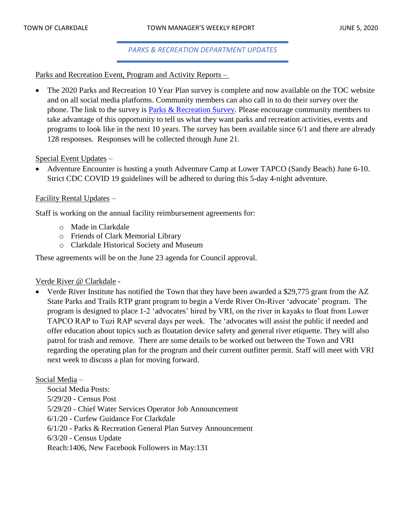## *PARKS & RECREATION DEPARTMENT UPDATES*

## Parks and Recreation Event, Program and Activity Reports –

• The 2020 Parks and Recreation 10 Year Plan survey is complete and now available on the TOC website and on all social media platforms. Community members can also call in to do their survey over the phone. The link to the survey is [Parks & Recreation Survey.](https://www.clarkdale.az.gov/your_government/community_services/index.php) Please encourage community members to take advantage of this opportunity to tell us what they want parks and recreation activities, events and programs to look like in the next 10 years. The survey has been available since 6/1 and there are already 128 responses. Responses will be collected through June 21.

### Special Event Updates –

• Adventure Encounter is hosting a youth Adventure Camp at Lower TAPCO (Sandy Beach) June 6-10. Strict CDC COVID 19 guidelines will be adhered to during this 5-day 4-night adventure.

### Facility Rental Updates –

Staff is working on the annual facility reimbursement agreements for:

- o Made in Clarkdale
- o Friends of Clark Memorial Library
- o Clarkdale Historical Society and Museum

These agreements will be on the June 23 agenda for Council approval.

## Verde River @ Clarkdale -

• Verde River Institute has notified the Town that they have been awarded a \$29,775 grant from the AZ State Parks and Trails RTP grant program to begin a Verde River On-River 'advocate' program. The program is designed to place 1-2 'advocates' hired by VRI, on the river in kayaks to float from Lower TAPCO RAP to Tuzi RAP several days per week. The 'advocates will assist the public if needed and offer education about topics such as floatation device safety and general river etiquette. They will also patrol for trash and remove. There are some details to be worked out between the Town and VRI regarding the operating plan for the program and their current outfitter permit. Staff will meet with VRI next week to discuss a plan for moving forward.

### Social Media –

Social Media Posts: 5/29/20 - Census Post 5/29/20 - Chief Water Services Operator Job Announcement 6/1/20 - Curfew Guidance For Clarkdale 6/1/20 - Parks & Recreation General Plan Survey Announcement 6/3/20 - Census Update Reach:1406, New Facebook Followers in May:131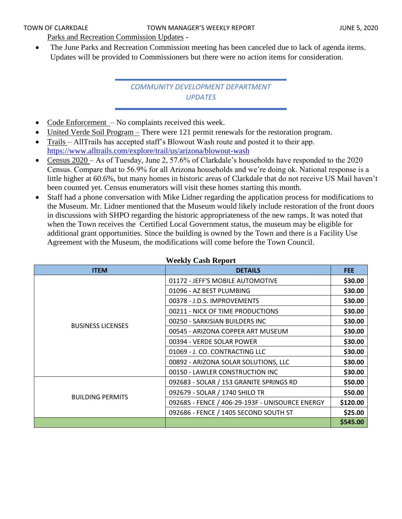Parks and Recreation Commission Updates -

• The June Parks and Recreation Commission meeting has been canceled due to lack of agenda items. Updates will be provided to Commissioners but there were no action items for consideration.

> *COMMUNITY DEVELOPMENT DEPARTMENT UPDATES*

- Code Enforcement No complaints received this week.
- United Verde Soil Program There were 121 permit renewals for the restoration program.
- Trails AllTrails has accepted staff's Blowout Wash route and posted it to their app. <https://www.alltrails.com/explore/trail/us/arizona/blowout-wash>
- Census 2020 As of Tuesday, June 2, 57.6% of Clarkdale's households have responded to the 2020 Census. Compare that to 56.9% for all Arizona households and we're doing ok. National response is a little higher at 60.6%, but many homes in historic areas of Clarkdale that do not receive US Mail haven't been counted yet. Census enumerators will visit these homes starting this month.
- Staff had a phone conversation with Mike Lidner regarding the application process for modifications to the Museum. Mr. Lidner mentioned that the Museum would likely include restoration of the front doors in discussions with SHPO regarding the historic appropriateness of the new ramps. It was noted that when the Town receives the Certified Local Government status, the museum may be eligible for additional grant opportunities. Since the building is owned by the Town and there is a Facility Use Agreement with the Museum, the modifications will come before the Town Council.

| <b>ITEM</b>              | <b>DETAILS</b>                                  | <b>FEE</b> |
|--------------------------|-------------------------------------------------|------------|
| <b>BUSINESS LICENSES</b> | 01172 - JEFF'S MOBILE AUTOMOTIVE                | \$30.00    |
|                          | 01096 - AZ BEST PLUMBING                        | \$30.00    |
|                          | 00378 - J.D.S. IMPROVEMENTS                     | \$30.00    |
|                          | 00211 - NICK OF TIME PRODUCTIONS                | \$30.00    |
|                          | 00250 - SARKISIAN BUILDERS INC                  | \$30.00    |
|                          | 00545 - ARIZONA COPPER ART MUSEUM               | \$30.00    |
|                          | 00394 - VERDE SOLAR POWER                       | \$30.00    |
|                          | 01069 - J. CO. CONTRACTING LLC                  | \$30.00    |
|                          | 00892 - ARIZONA SOLAR SOLUTIONS, LLC            | \$30.00    |
|                          | 00150 - LAWLER CONSTRUCTION INC                 | \$30.00    |
| <b>BUILDING PERMITS</b>  | 092683 - SOLAR / 153 GRANITE SPRINGS RD         | \$50.00    |
|                          | 092679 - SOLAR / 1740 SHILO TR                  | \$50.00    |
|                          | 092685 - FENCE / 406-29-193F - UNISOURCE ENERGY | \$120.00   |
|                          | 092686 - FENCE / 1405 SECOND SOUTH ST           | \$25.00    |
|                          |                                                 | \$545.00   |

#### **Weekly Cash Report**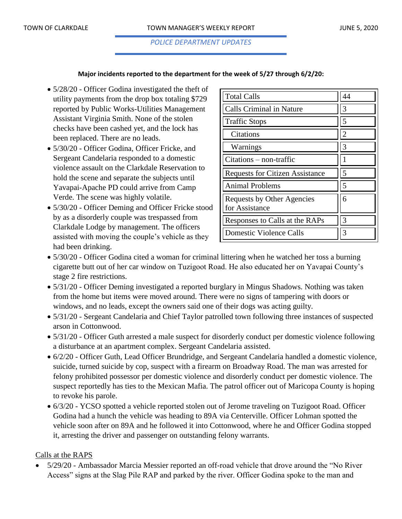*POLICE DEPARTMENT UPDATES*

#### **Major incidents reported to the department for the week of 5/27 through 6/2/20:**

- $5/28/20$  Officer Godina investigated the theft of utility payments from the drop box totaling \$729 reported by Public Works-Utilities Management Assistant Virginia Smith. None of the stolen checks have been cashed yet, and the lock has been replaced. There are no leads.
- 5/30/20 Officer Godina, Officer Fricke, and Sergeant Candelaria responded to a domestic violence assault on the Clarkdale Reservation to hold the scene and separate the subjects until Yavapai-Apache PD could arrive from Camp Verde. The scene was highly volatile.
- 5/30/20 Officer Deming and Officer Fricke stood by as a disorderly couple was trespassed from Clarkdale Lodge by management. The officers assisted with moving the couple's vehicle as they had been drinking.

| Total Calls                                         | 44 |
|-----------------------------------------------------|----|
| <b>Calls Criminal in Nature</b>                     | 3  |
| <b>Traffic Stops</b>                                | 5  |
| Citations                                           | 2  |
| Warnings                                            | 3  |
| Citations – non-traffic                             |    |
| <b>Requests for Citizen Assistance</b>              | 5  |
| <b>Animal Problems</b>                              | 5  |
| <b>Requests by Other Agencies</b><br>for Assistance | 6  |
| Responses to Calls at the RAPs                      | 3  |
| <b>Domestic Violence Calls</b>                      | 3  |

- 5/30/20 Officer Godina cited a woman for criminal littering when he watched her toss a burning cigarette butt out of her car window on Tuzigoot Road. He also educated her on Yavapai County's stage 2 fire restrictions.
- 5/31/20 Officer Deming investigated a reported burglary in Mingus Shadows. Nothing was taken from the home but items were moved around. There were no signs of tampering with doors or windows, and no leads, except the owners said one of their dogs was acting guilty.
- 5/31/20 Sergeant Candelaria and Chief Taylor patrolled town following three instances of suspected arson in Cottonwood.
- 5/31/20 Officer Guth arrested a male suspect for disorderly conduct per domestic violence following a disturbance at an apartment complex. Sergeant Candelaria assisted.
- 6/2/20 Officer Guth, Lead Officer Brundridge, and Sergeant Candelaria handled a domestic violence, suicide, turned suicide by cop, suspect with a firearm on Broadway Road. The man was arrested for felony prohibited possessor per domestic violence and disorderly conduct per domestic violence. The suspect reportedly has ties to the Mexican Mafia. The patrol officer out of Maricopa County is hoping to revoke his parole.
- 6/3/20 YCSO spotted a vehicle reported stolen out of Jerome traveling on Tuzigoot Road. Officer Godina had a hunch the vehicle was heading to 89A via Centerville. Officer Lohman spotted the vehicle soon after on 89A and he followed it into Cottonwood, where he and Officer Godina stopped it, arresting the driver and passenger on outstanding felony warrants.

## Calls at the RAPS

• 5/29/20 - Ambassador Marcia Messier reported an off-road vehicle that drove around the "No River Access" signs at the Slag Pile RAP and parked by the river. Officer Godina spoke to the man and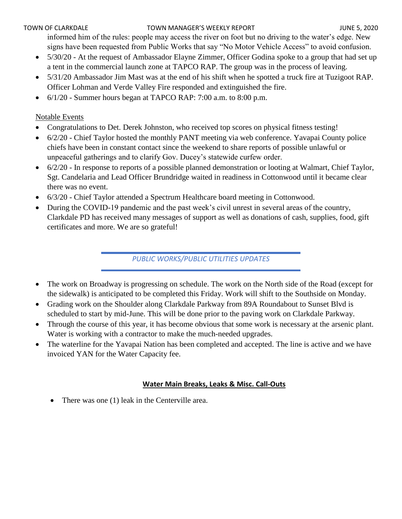#### TOWN OF CLARKDALE TOWN MANAGER'S WEEKLY REPORT TOWN OF CLARKDALE

informed him of the rules: people may access the river on foot but no driving to the water's edge. New signs have been requested from Public Works that say "No Motor Vehicle Access" to avoid confusion.

- 5/30/20 At the request of Ambassador Elayne Zimmer, Officer Godina spoke to a group that had set up a tent in the commercial launch zone at TAPCO RAP. The group was in the process of leaving.
- 5/31/20 Ambassador Jim Mast was at the end of his shift when he spotted a truck fire at Tuzigoot RAP. Officer Lohman and Verde Valley Fire responded and extinguished the fire.
- 6/1/20 Summer hours began at TAPCO RAP: 7:00 a.m. to 8:00 p.m.

## Notable Events

- Congratulations to Det. Derek Johnston, who received top scores on physical fitness testing!
- 6/2/20 Chief Taylor hosted the monthly PANT meeting via web conference. Yavapai County police chiefs have been in constant contact since the weekend to share reports of possible unlawful or unpeaceful gatherings and to clarify Gov. Ducey's statewide curfew order.
- 6/2/20 In response to reports of a possible planned demonstration or looting at Walmart, Chief Taylor, Sgt. Candelaria and Lead Officer Brundridge waited in readiness in Cottonwood until it became clear there was no event.
- 6/3/20 Chief Taylor attended a Spectrum Healthcare board meeting in Cottonwood.
- During the COVID-19 pandemic and the past week's civil unrest in several areas of the country, Clarkdale PD has received many messages of support as well as donations of cash, supplies, food, gift certificates and more. We are so grateful!

*PUBLIC WORKS/PUBLIC UTILITIES UPDATES*

- The work on Broadway is progressing on schedule. The work on the North side of the Road (except for the sidewalk) is anticipated to be completed this Friday. Work will shift to the Southside on Monday.
- Grading work on the Shoulder along Clarkdale Parkway from 89A Roundabout to Sunset Blvd is scheduled to start by mid-June. This will be done prior to the paving work on Clarkdale Parkway.
- Through the course of this year, it has become obvious that some work is necessary at the arsenic plant. Water is working with a contractor to make the much-needed upgrades.
- The waterline for the Yavapai Nation has been completed and accepted. The line is active and we have invoiced YAN for the Water Capacity fee.

# **Water Main Breaks, Leaks & Misc. Call-Outs**

• There was one (1) leak in the Centerville area.